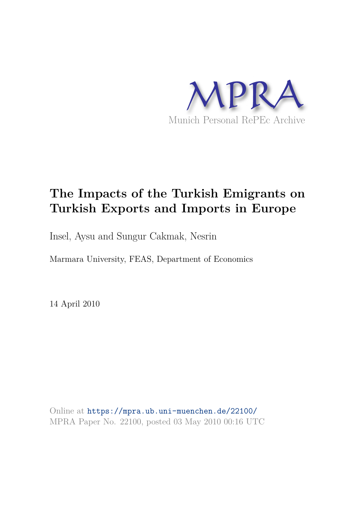

# **The Impacts of the Turkish Emigrants on Turkish Exports and Imports in Europe**

Insel, Aysu and Sungur Cakmak, Nesrin

Marmara University, FEAS, Department of Economics

14 April 2010

Online at https://mpra.ub.uni-muenchen.de/22100/ MPRA Paper No. 22100, posted 03 May 2010 00:16 UTC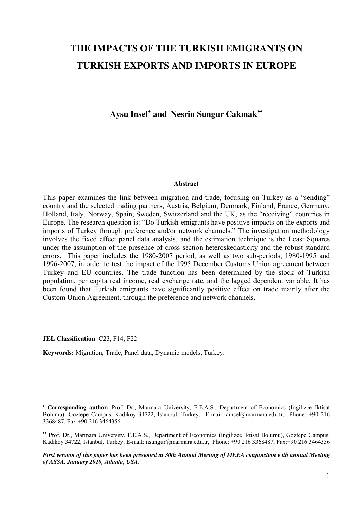## **THE IMPACTS OF THE TURKISH EMIGRANTS ON TURKISH EXPORTS AND IMPORTS IN EUROPE**

Aysu Insel<sup>[•](#page-1-0)</sup> and Nesrin Sungur Cakmak<sup>[••](#page-1-1)</sup>

#### **Abstract**

This paper examines the link between migration and trade, focusing on Turkey as a "sending" country and the selected trading partners, Austria, Belgium, Denmark, Finland, France, Germany, Holland, Italy, Norway, Spain, Sweden, Switzerland and the UK, as the "receiving" countries in Europe. The research question is: "Do Turkish emigrants have positive impacts on the exports and imports of Turkey through preference and/or network channels." The investigation methodology involves the fixed effect panel data analysis, and the estimation technique is the Least Squares under the assumption of the presence of cross section heteroskedasticity and the robust standard errors. This paper includes the 1980-2007 period, as well as two sub-periods, 1980-1995 and 1996-2007, in order to test the impact of the 1995 December Customs Union agreement between Turkey and EU countries. The trade function has been determined by the stock of Turkish population, per capita real income, real exchange rate, and the lagged dependent variable. It has been found that Turkish emigrants have significantly positive effect on trade mainly after the Custom Union Agreement, through the preference and network channels.

**JEL Classification**: C23, F14, F22

 $\overline{a}$ 

**Keywords:** Migration, Trade, Panel data, Dynamic models, Turkey.

<span id="page-1-0"></span><sup>•</sup> **Corresponding author:** Prof. Dr., Marmara University, F.E.A.S., Department of Economics (Ingilizce Iktisat Bolumu), Goztepe Campus, Kadikoy 34722, Istanbul, Turkey. E-mail: [ainsel@marmara.edu.tr,](mailto:ainsel@marmara.edu.tr) Phone: +90 216 3368487, Fax:+90 216 3464356

<span id="page-1-1"></span><sup>••</sup> Prof. Dr., Marmara University, F.E.A.S., Department of Economics (İngilizce İktisat Bolumu), Goztepe Campus, Kadikoy 34722, Istanbul, Turkey. E-mail: [nsungur@marmara.edu.tr,](mailto:nsungur@marmara.edu.tr) Phone: +90 216 3368487, Fax:+90 216 3464356

*First version of this paper has been presented at 30th Annual Meeting of MEEA conjunction with annual Meeting of ASSA, January 2010, Atlanta, USA.*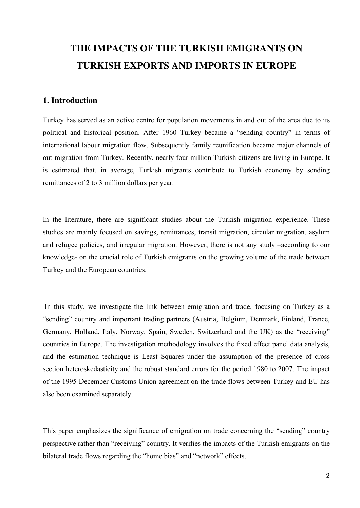## **THE IMPACTS OF THE TURKISH EMIGRANTS ON TURKISH EXPORTS AND IMPORTS IN EUROPE**

## **1. Introduction**

Turkey has served as an active centre for population movements in and out of the area due to its political and historical position. After 1960 Turkey became a "sending country" in terms of international labour migration flow. Subsequently family reunification became major channels of out-migration from Turkey. Recently, nearly four million Turkish citizens are living in Europe. It is estimated that, in average, Turkish migrants contribute to Turkish economy by sending remittances of 2 to 3 million dollars per year.

In the literature, there are significant studies about the Turkish migration experience. These studies are mainly focused on savings, remittances, transit migration, circular migration, asylum and refugee policies, and irregular migration. However, there is not any study –according to our knowledge- on the crucial role of Turkish emigrants on the growing volume of the trade between Turkey and the European countries.

 In this study, we investigate the link between emigration and trade, focusing on Turkey as a "sending" country and important trading partners (Austria, Belgium, Denmark, Finland, France, Germany, Holland, Italy, Norway, Spain, Sweden, Switzerland and the UK) as the "receiving" countries in Europe. The investigation methodology involves the fixed effect panel data analysis, and the estimation technique is Least Squares under the assumption of the presence of cross section heteroskedasticity and the robust standard errors for the period 1980 to 2007. The impact of the 1995 December Customs Union agreement on the trade flows between Turkey and EU has also been examined separately.

This paper emphasizes the significance of emigration on trade concerning the "sending" country perspective rather than "receiving" country. It verifies the impacts of the Turkish emigrants on the bilateral trade flows regarding the "home bias" and "network" effects.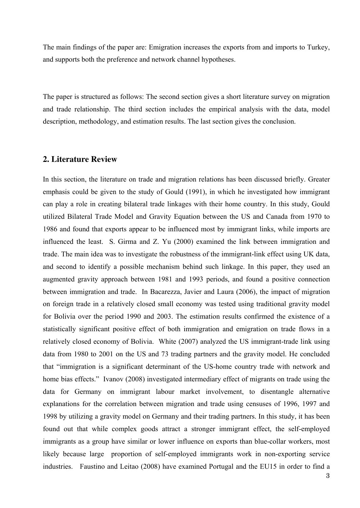The main findings of the paper are: Emigration increases the exports from and imports to Turkey, and supports both the preference and network channel hypotheses.

The paper is structured as follows: The second section gives a short literature survey on migration and trade relationship. The third section includes the empirical analysis with the data, model description, methodology, and estimation results. The last section gives the conclusion.

### **2. Literature Review**

In this section, the literature on trade and migration relations has been discussed briefly. Greater emphasis could be given to the study of Gould (1991), in which he investigated how immigrant can play a role in creating bilateral trade linkages with their home country. In this study, Gould utilized Bilateral Trade Model and Gravity Equation between the US and Canada from 1970 to 1986 and found that exports appear to be influenced most by immigrant links, while imports are influenced the least. S. Girma and Z. Yu (2000) examined the link between immigration and trade. The main idea was to investigate the robustness of the immigrant-link effect using UK data, and second to identify a possible mechanism behind such linkage. In this paper, they used an augmented gravity approach between 1981 and 1993 periods, and found a positive connection between immigration and trade. In Bacarezza, Javier and Laura (2006), the impact of migration on foreign trade in a relatively closed small economy was tested using traditional gravity model for Bolivia over the period 1990 and 2003. The estimation results confirmed the existence of a statistically significant positive effect of both immigration and emigration on trade flows in a relatively closed economy of Bolivia. White (2007) analyzed the US immigrant-trade link using data from 1980 to 2001 on the US and 73 trading partners and the gravity model. He concluded that "immigration is a significant determinant of the US-home country trade with network and home bias effects." Ivanov (2008) investigated intermediary effect of migrants on trade using the data for Germany on immigrant labour market involvement, to disentangle alternative explanations for the correlation between migration and trade using censuses of 1996, 1997 and 1998 by utilizing a gravity model on Germany and their trading partners. In this study, it has been found out that while complex goods attract a stronger immigrant effect, the self-employed immigrants as a group have similar or lower influence on exports than blue-collar workers, most likely because large proportion of self-employed immigrants work in non-exporting service industries. Faustino and Leitao (2008) have examined Portugal and the EU15 in order to find a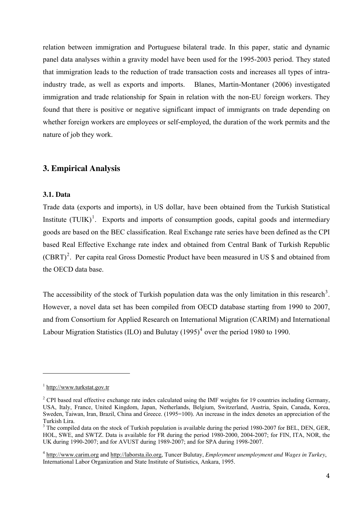relation between immigration and Portuguese bilateral trade. In this paper, static and dynamic panel data analyses within a gravity model have been used for the 1995-2003 period. They stated that immigration leads to the reduction of trade transaction costs and increases all types of intraindustry trade, as well as exports and imports. Blanes, Martin-Montaner (2006) investigated immigration and trade relationship for Spain in relation with the non-EU foreign workers. They found that there is positive or negative significant impact of immigrants on trade depending on whether foreign workers are employees or self-employed, the duration of the work permits and the nature of job they work.

## **3. Empirical Analysis**

## **3.1. Data**

Trade data (exports and imports), in US dollar, have been obtained from the Turkish Statistical Institute  $(TUIK)<sup>1</sup>$  $(TUIK)<sup>1</sup>$  $(TUIK)<sup>1</sup>$ . Exports and imports of consumption goods, capital goods and intermediary goods are based on the BEC classification. Real Exchange rate series have been defined as the CPI based Real Effective Exchange rate index and obtained from Central Bank of Turkish Republic  $(CBRT)^2$  $(CBRT)^2$ . Per capita real Gross Domestic Product have been measured in US \$ and obtained from the OECD data base.

The accessibility of the stock of Turkish population data was the only limitation in this research<sup>[3](#page-4-2)</sup>. However, a novel data set has been compiled from OECD database starting from 1990 to 2007, and from Consortium for Applied Research on International Migration (CARIM) and International Labour Migration Statistics (ILO) and Bulutay  $(1995)^4$  $(1995)^4$  over the period 1980 to 1990.

 $\overline{a}$ 

<span id="page-4-0"></span><sup>&</sup>lt;sup>1</sup> [http://www.turkstat.gov.tr](http://www.turkstat.gov.tr/)

<span id="page-4-1"></span> $2^2$  CPI based real effective exchange rate index calculated using the IMF weights for 19 countries including Germany, USA, Italy, France, United Kingdom, Japan, Netherlands, Belgium, Switzerland, Austria, Spain, Canada, Korea, Sweden, Taiwan, Iran, Brazil, China and Greece. (1995=100). An increase in the index denotes an appreciation of the Turkish Lira.

<span id="page-4-2"></span><sup>&</sup>lt;sup>3</sup> The compiled data on the stock of Turkish population is available during the period 1980-2007 for BEL, DEN, GER, HOL, SWE, and SWTZ. Data is available for FR during the period 1980-2000, 2004-2007; for FIN, ITA, NOR, the UK during 1990-2007; and for AVUST during 1989-2007; and for SPA during 1998-2007.

<span id="page-4-3"></span><sup>4</sup> [http://www.carim.org](http://www.carim.org/) and [http://laborsta.ilo.org](http://laborsta.ilo.org/), Tuncer Bulutay, *Employment unemployment and Wages in Turkey*, International Labor Organization and State Institute of Statistics, Ankara, 1995.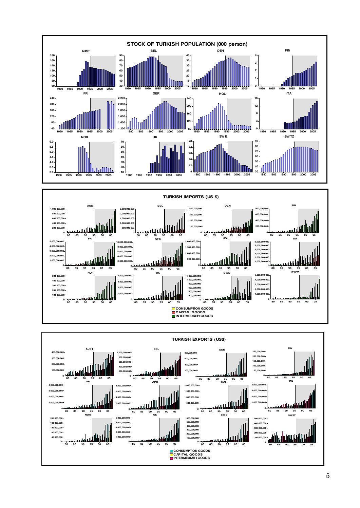



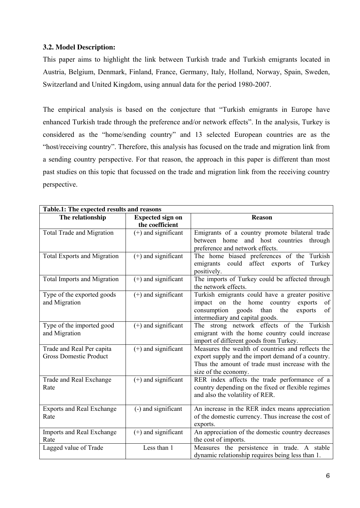## **3.2. Model Description:**

This paper aims to highlight the link between Turkish trade and Turkish emigrants located in Austria, Belgium, Denmark, Finland, France, Germany, Italy, Holland, Norway, Spain, Sweden, Switzerland and United Kingdom, using annual data for the period 1980-2007.

The empirical analysis is based on the conjecture that "Turkish emigrants in Europe have enhanced Turkish trade through the preference and/or network effects". In the analysis, Turkey is considered as the "home/sending country" and 13 selected European countries are as the "host/receiving country". Therefore, this analysis has focused on the trade and migration link from a sending country perspective. For that reason, the approach in this paper is different than most past studies on this topic that focussed on the trade and migration link from the receiving country perspective.

| Table.1: The expected results and reasons |                         |                                                     |  |  |  |  |  |
|-------------------------------------------|-------------------------|-----------------------------------------------------|--|--|--|--|--|
| The relationship                          | <b>Expected sign on</b> | <b>Reason</b>                                       |  |  |  |  |  |
|                                           | the coefficient         |                                                     |  |  |  |  |  |
| <b>Total Trade and Migration</b>          | $(+)$ and significant   | Emigrants of a country promote bilateral trade      |  |  |  |  |  |
|                                           |                         | between home<br>and host countries<br>through       |  |  |  |  |  |
|                                           |                         | preference and network effects.                     |  |  |  |  |  |
| <b>Total Exports and Migration</b>        | $(+)$ and significant   | The home biased preferences of the Turkish          |  |  |  |  |  |
|                                           |                         | could affect exports<br>Turkey<br>emigrants<br>of   |  |  |  |  |  |
|                                           |                         | positively.                                         |  |  |  |  |  |
| <b>Total Imports and Migration</b>        | $(+)$ and significant   | The imports of Turkey could be affected through     |  |  |  |  |  |
|                                           |                         | the network effects.                                |  |  |  |  |  |
| Type of the exported goods                | $(+)$ and significant   | Turkish emigrants could have a greater positive     |  |  |  |  |  |
| and Migration                             |                         | on the home country<br>impact<br>exports<br>of      |  |  |  |  |  |
|                                           |                         | than<br>consumption goods<br>the<br>of<br>exports   |  |  |  |  |  |
|                                           |                         | intermediary and capital goods.                     |  |  |  |  |  |
| Type of the imported good                 | $(+)$ and significant   | The strong network effects of the Turkish           |  |  |  |  |  |
| and Migration                             |                         | emigrant with the home country could increase       |  |  |  |  |  |
|                                           |                         | import of different goods from Turkey.              |  |  |  |  |  |
| Trade and Real Per capita                 | $(+)$ and significant   | Measures the wealth of countries and reflects the   |  |  |  |  |  |
| <b>Gross Domestic Product</b>             |                         | export supply and the import demand of a country.   |  |  |  |  |  |
|                                           |                         | Thus the amount of trade must increase with the     |  |  |  |  |  |
|                                           |                         | size of the economy.                                |  |  |  |  |  |
| Trade and Real Exchange                   | $(+)$ and significant   | RER index affects the trade performance of a        |  |  |  |  |  |
| Rate                                      |                         | country depending on the fixed or flexible regimes  |  |  |  |  |  |
|                                           |                         | and also the volatility of RER.                     |  |  |  |  |  |
|                                           |                         |                                                     |  |  |  |  |  |
| <b>Exports and Real Exchange</b>          | (-) and significant     | An increase in the RER index means appreciation     |  |  |  |  |  |
| Rate                                      |                         | of the domestic currency. Thus increase the cost of |  |  |  |  |  |
|                                           |                         | exports.                                            |  |  |  |  |  |
| Imports and Real Exchange                 | $(+)$ and significant   | An appreciation of the domestic country decreases   |  |  |  |  |  |
| Rate                                      |                         | the cost of imports.                                |  |  |  |  |  |
| Lagged value of Trade                     | Less than 1             | Measures the persistence in trade. A stable         |  |  |  |  |  |
|                                           |                         | dynamic relationship requires being less than 1.    |  |  |  |  |  |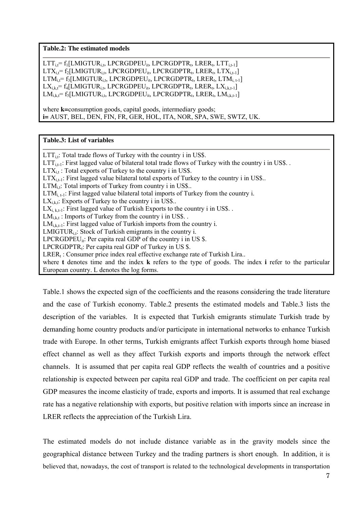#### **Table.2: The estimated models**

 $LTT_{i,t}$ = f<sub>1</sub>[LMIGTUR<sub>i,t</sub>, LPCRGDPEU<sub>it</sub>, LPCRGDPTR<sub>t</sub>, LRER<sub>t</sub>, LTT<sub>i,t-1</sub>]  $LTX_{i,t}$ = f<sub>2</sub>[LMIGTUR<sub>i,t</sub>, LPCRGDPEU<sub>it</sub>, LPCRGDPTR<sub>t</sub>, LRER<sub>t</sub>, LTX<sub>i,t-1</sub>]  $LTM_{i,t}$ = f<sub>3</sub>[LMIGTUR<sub>i,t</sub>, LPCRGDPEU<sub>it</sub>, LPCRGDPTR<sub>t</sub>, LRER<sub>t</sub>, LTM<sub>i, t-1</sub>]  $LX_{i,k,t}$ = f<sub>4</sub>[LMIGTUR<sub>i,t</sub>, LPCRGDPEU<sub>it</sub>, LPCRGDPTR<sub>t</sub>, LRER<sub>t</sub>, LX<sub>i,k,t-1</sub>] LM<sub>i,k,t</sub>= f<sub>5</sub>[LMIGTUR<sub>i,t</sub>, LPCRGDPEU<sub>it</sub>, LPCRGDPTR<sub>t</sub>, LRER<sub>t</sub>, LM<sub>i,k,t-1</sub>]

where **k=**consumption goods, capital goods, intermediary goods; **i=** AUST, BEL, DEN, FIN, FR, GER, HOL, ITA, NOR, SPA, SWE, SWTZ, UK.

#### **Table.3: List of variables**

 $LTT_{i,t}$ : Total trade flows of Turkey with the country i in US\$.  $LTT_{it-1}$ : First lagged value of bilateral total trade flows of Turkey with the country i in US\$.  $LTX_{i,t}$ : Total exports of Turkey to the country i in US\$.  $LTX_{i,t-1}$ : First lagged value bilateral total exports of Turkey to the country i in US\$..  $LTM_{i,t}$ : Total imports of Turkey from country i in US\$..  $LTM_{i,t-1}$ : First lagged value bilateral total imports of Turkey from the country i.  $LX_{i,k}$ : Exports of Turkey to the country i in US\$..  $LX_{i,k,t}$ : First lagged value of Turkish Exports to the country i in US\$...  $LM_{i,k,t}$ : Imports of Turkey from the country i in US\$...  $LM_{i,k+1}$ : First lagged value of Turkish imports from the country i. LMIGTUR<sub>it</sub>: Stock of Turkish emigrants in the country i. LPCRGDPEU<sub>it</sub>: Per capita real GDP of the country i in US . LPCRGDPTR<sub>t</sub>: Per capita real GDP of Turkey in US .  $LRER_t$ : Consumer price index real effective exchange rate of Turkish Lira.. where **t** denotes time and the index **k** refers to the type of goods. The index **i** refer to the particular European country. L denotes the log forms.

Table.1 shows the expected sign of the coefficients and the reasons considering the trade literature and the case of Turkish economy. Table.2 presents the estimated models and Table.3 lists the description of the variables. It is expected that Turkish emigrants stimulate Turkish trade by demanding home country products and/or participate in international networks to enhance Turkish trade with Europe. In other terms, Turkish emigrants affect Turkish exports through home biased effect channel as well as they affect Turkish exports and imports through the network effect channels. It is assumed that per capita real GDP reflects the wealth of countries and a positive relationship is expected between per capita real GDP and trade. The coefficient on per capita real GDP measures the income elasticity of trade, exports and imports. It is assumed that real exchange rate has a negative relationship with exports, but positive relation with imports since an increase in LRER reflects the appreciation of the Turkish Lira.

The estimated models do not include distance variable as in the gravity models since the geographical distance between Turkey and the trading partners is short enough. In addition, it is believed that, nowadays, the cost of transport is related to the technological developments in transportation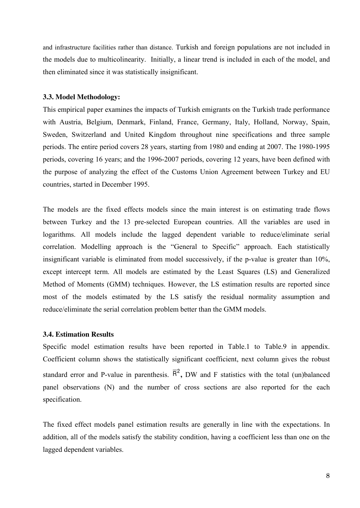and infrastructure facilities rather than distance. Turkish and foreign populations are not included in the models due to multicolinearity. Initially, a linear trend is included in each of the model, and then eliminated since it was statistically insignificant.

#### **3.3. Model Methodology:**

This empirical paper examines the impacts of Turkish emigrants on the Turkish trade performance with Austria, Belgium, Denmark, Finland, France, Germany, Italy, Holland, Norway, Spain, Sweden, Switzerland and United Kingdom throughout nine specifications and three sample periods. The entire period covers 28 years, starting from 1980 and ending at 2007. The 1980-1995 periods, covering 16 years; and the 1996-2007 periods, covering 12 years, have been defined with the purpose of analyzing the effect of the Customs Union Agreement between Turkey and EU countries, started in December 1995.

The models are the fixed effects models since the main interest is on estimating trade flows between Turkey and the 13 pre-selected European countries. All the variables are used in logarithms. All models include the lagged dependent variable to reduce/eliminate serial correlation. Modelling approach is the "General to Specific" approach. Each statistically insignificant variable is eliminated from model successively, if the p-value is greater than 10%, except intercept term. All models are estimated by the Least Squares (LS) and Generalized Method of Moments (GMM) techniques. However, the LS estimation results are reported since most of the models estimated by the LS satisfy the residual normality assumption and reduce/eliminate the serial correlation problem better than the GMM models.

#### **3.4. Estimation Results**

Specific model estimation results have been reported in Table.1 to Table.9 in appendix. Coefficient column shows the statistically significant coefficient, next column gives the robust standard error and P-value in parenthesis.  $\overline{R}^2$ , DW and F statistics with the total (un)balanced panel observations (N) and the number of cross sections are also reported for the each specification.

The fixed effect models panel estimation results are generally in line with the expectations. In addition, all of the models satisfy the stability condition, having a coefficient less than one on the lagged dependent variables.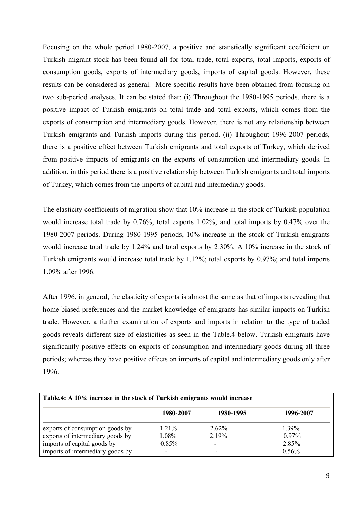Focusing on the whole period 1980-2007, a positive and statistically significant coefficient on Turkish migrant stock has been found all for total trade, total exports, total imports, exports of consumption goods, exports of intermediary goods, imports of capital goods. However, these results can be considered as general. More specific results have been obtained from focusing on two sub-period analyses. It can be stated that: (i) Throughout the 1980-1995 periods, there is a positive impact of Turkish emigrants on total trade and total exports, which comes from the exports of consumption and intermediary goods. However, there is not any relationship between Turkish emigrants and Turkish imports during this period. (ii) Throughout 1996-2007 periods, there is a positive effect between Turkish emigrants and total exports of Turkey, which derived from positive impacts of emigrants on the exports of consumption and intermediary goods. In addition, in this period there is a positive relationship between Turkish emigrants and total imports of Turkey, which comes from the imports of capital and intermediary goods.

The elasticity coefficients of migration show that 10% increase in the stock of Turkish population would increase total trade by 0.76%; total exports 1.02%; and total imports by 0.47% over the 1980-2007 periods. During 1980-1995 periods, 10% increase in the stock of Turkish emigrants would increase total trade by 1.24% and total exports by 2.30%. A 10% increase in the stock of Turkish emigrants would increase total trade by 1.12%; total exports by 0.97%; and total imports 1.09% after 1996.

After 1996, in general, the elasticity of exports is almost the same as that of imports revealing that home biased preferences and the market knowledge of emigrants has similar impacts on Turkish trade. However, a further examination of exports and imports in relation to the type of traded goods reveals different size of elasticities as seen in the Table.4 below. Turkish emigrants have significantly positive effects on exports of consumption and intermediary goods during all three periods; whereas they have positive effects on imports of capital and intermediary goods only after 1996.

| Table.4: A 10% increase in the stock of Turkish emigrants would increase |           |                          |           |  |  |  |  |  |
|--------------------------------------------------------------------------|-----------|--------------------------|-----------|--|--|--|--|--|
|                                                                          | 1980-2007 | 1980-1995                | 1996-2007 |  |  |  |  |  |
| exports of consumption goods by                                          | $1.21\%$  | 2.62%                    | 1.39%     |  |  |  |  |  |
| exports of intermediary goods by                                         | 1.08%     | 2.19%                    | $0.97\%$  |  |  |  |  |  |
| imports of capital goods by                                              | $0.85\%$  | $\overline{\phantom{0}}$ | 2.85%     |  |  |  |  |  |
| imports of intermediary goods by                                         |           |                          | $0.56\%$  |  |  |  |  |  |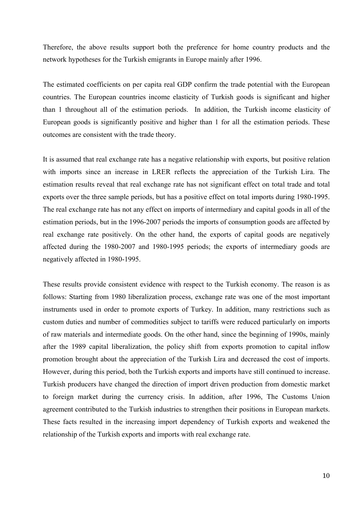Therefore, the above results support both the preference for home country products and the network hypotheses for the Turkish emigrants in Europe mainly after 1996.

The estimated coefficients on per capita real GDP confirm the trade potential with the European countries. The European countries income elasticity of Turkish goods is significant and higher than 1 throughout all of the estimation periods. In addition, the Turkish income elasticity of European goods is significantly positive and higher than 1 for all the estimation periods. These outcomes are consistent with the trade theory.

It is assumed that real exchange rate has a negative relationship with exports, but positive relation with imports since an increase in LRER reflects the appreciation of the Turkish Lira. The estimation results reveal that real exchange rate has not significant effect on total trade and total exports over the three sample periods, but has a positive effect on total imports during 1980-1995. The real exchange rate has not any effect on imports of intermediary and capital goods in all of the estimation periods, but in the 1996-2007 periods the imports of consumption goods are affected by real exchange rate positively. On the other hand, the exports of capital goods are negatively affected during the 1980-2007 and 1980-1995 periods; the exports of intermediary goods are negatively affected in 1980-1995.

These results provide consistent evidence with respect to the Turkish economy. The reason is as follows: Starting from 1980 liberalization process, exchange rate was one of the most important instruments used in order to promote exports of Turkey. In addition, many restrictions such as custom duties and number of commodities subject to tariffs were reduced particularly on imports of raw materials and intermediate goods. On the other hand, since the beginning of 1990s, mainly after the 1989 capital liberalization, the policy shift from exports promotion to capital inflow promotion brought about the appreciation of the Turkish Lira and decreased the cost of imports. However, during this period, both the Turkish exports and imports have still continued to increase. Turkish producers have changed the direction of import driven production from domestic market to foreign market during the currency crisis. In addition, after 1996, The Customs Union agreement contributed to the Turkish industries to strengthen their positions in European markets. These facts resulted in the increasing import dependency of Turkish exports and weakened the relationship of the Turkish exports and imports with real exchange rate.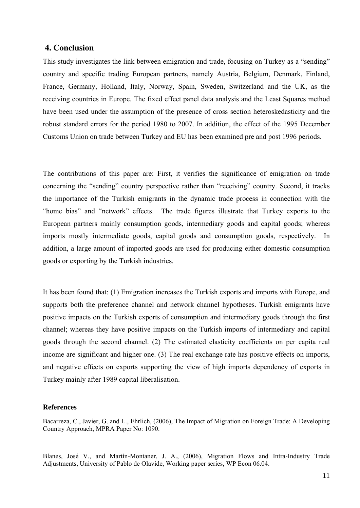## **4. Conclusion**

This study investigates the link between emigration and trade, focusing on Turkey as a "sending" country and specific trading European partners, namely Austria, Belgium, Denmark, Finland, France, Germany, Holland, Italy, Norway, Spain, Sweden, Switzerland and the UK, as the receiving countries in Europe. The fixed effect panel data analysis and the Least Squares method have been used under the assumption of the presence of cross section heteroskedasticity and the robust standard errors for the period 1980 to 2007. In addition, the effect of the 1995 December Customs Union on trade between Turkey and EU has been examined pre and post 1996 periods.

The contributions of this paper are: First, it verifies the significance of emigration on trade concerning the "sending" country perspective rather than "receiving" country. Second, it tracks the importance of the Turkish emigrants in the dynamic trade process in connection with the "home bias" and "network" effects. The trade figures illustrate that Turkey exports to the European partners mainly consumption goods, intermediary goods and capital goods; whereas imports mostly intermediate goods, capital goods and consumption goods, respectively. In addition, a large amount of imported goods are used for producing either domestic consumption goods or exporting by the Turkish industries.

It has been found that: (1) Emigration increases the Turkish exports and imports with Europe, and supports both the preference channel and network channel hypotheses. Turkish emigrants have positive impacts on the Turkish exports of consumption and intermediary goods through the first channel; whereas they have positive impacts on the Turkish imports of intermediary and capital goods through the second channel. (2) The estimated elasticity coefficients on per capita real income are significant and higher one. (3) The real exchange rate has positive effects on imports, and negative effects on exports supporting the view of high imports dependency of exports in Turkey mainly after 1989 capital liberalisation.

### **References**

Bacarreza, C., Javier, G. and L., Ehrlich, (2006), The Impact of Migration on Foreign Trade: A Developing Country Approach, MPRA Paper No: 1090.

Blanes, José V., and Martín-Montaner, J. A., (2006), Migration Flows and Intra-Industry Trade Adjustments, University of Pablo de Olavide, Working paper series, WP Econ 06.04.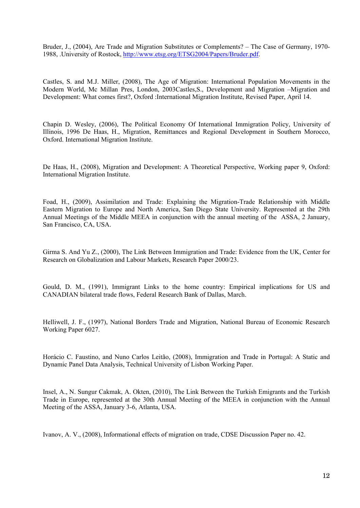Bruder, J., (2004), Are Trade and Migration Substitutes or Complements? – The Case of Germany, 1970- 1988, .University of Rostock, [http://www.etsg.org/ETSG2004/Papers/Bruder.pdf.](http://www.etsg.org/ETSG2004/Papers/Bruder.pdf)

Castles, S. and M.J. Miller, (2008), The Age of Migration: International Population Movements in the Modern World, Mc Millan Pres, London, 2003Castles,S., Development and Migration –Migration and Development: What comes first?, Oxford :International Migration Institute, Revised Paper, April 14.

Chapin D. Wesley, (2006), The Political Economy Of International Immigration Policy, University of Illinois, 1996 De Haas, H., Migration, Remittances and Regional Development in Southern Morocco, Oxford. International Migration Institute.

De Haas, H., (2008), Migration and Development: A Theoretical Perspective, Working paper 9, Oxford: International Migration Institute.

Foad, H., (2009), Assimilation and Trade: Explaining the Migration-Trade Relationship with Middle Eastern Migration to Europe and North America, San Diego State University. Represented at the 29th Annual Meetings of the Middle MEEA in conjunction with the annual meeting of the ASSA, 2 January, San Francisco, CA, USA.

Girma S. And Yu Z., (2000), The Link Between Immigration and Trade: Evidence from the UK, Center for Research on Globalization and Labour Markets, Research Paper 2000/23.

Gould, D. M., (1991), Immigrant Links to the home country: Empirical implications for US and CANADIAN bilateral trade flows, Federal Research Bank of Dallas, March.

Helliwell, J. F., (1997), National Borders Trade and Migration, National Bureau of Economic Research Working Paper 6027.

Horácio C. Faustino, and Nuno Carlos Leitão, (2008), Immigration and Trade in Portugal: A Static and Dynamic Panel Data Analysis, Technical University of Lisbon Working Paper.

Insel, A., N. Sungur Cakmak, A. Okten, (2010), The Link Between the Turkish Emigrants and the Turkish Trade in Europe, represented at the 30th Annual Meeting of the MEEA in conjunction with the Annual Meeting of the ASSA, January 3-6, Atlanta, USA.

Ivanov, A. V., (2008), Informational effects of migration on trade, CDSE Discussion Paper no. 42.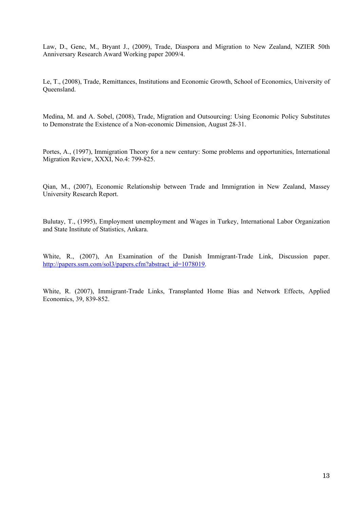Law, D., Genc, M., Bryant J., (2009), Trade, Diaspora and Migration to New Zealand, NZIER 50th Anniversary Research Award Working paper 2009/4.

Le, T., (2008), Trade, Remittances, Institutions and Economic Growth, School of Economics, University of Queensland.

Medina, M. and A. Sobel, (2008), Trade, Migration and Outsourcing: Using Economic Policy Substitutes to Demonstrate the Existence of a Non-economic Dimension, August 28-31.

Portes, A., (1997), Immigration Theory for a new century: Some problems and opportunities, International Migration Review, XXXI, No.4: 799-825.

Qian, M., (2007), Economic Relationship between Trade and Immigration in New Zealand, Massey University Research Report.

Bulutay, T., (1995), Employment unemployment and Wages in Turkey, International Labor Organization and State Institute of Statistics, Ankara.

White, R., (2007), An Examination of the Danish Immigrant-Trade Link, Discussion paper. [http://papers.ssrn.com/sol3/papers.cfm?abstract\\_id=1078019.](http://papers.ssrn.com/sol3/papers.cfm?abstract_id=1078019)

White, R. (2007), Immigrant-Trade Links, Transplanted Home Bias and Network Effects, Applied Economics, 39, 839-852.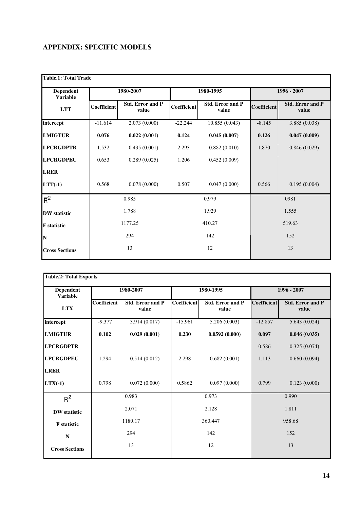## **APPENDIX: SPECIFIC MODELS**

| <b>Table.1: Total Trade</b>         |             |                                  |             |                                  |             |                                  |  |
|-------------------------------------|-------------|----------------------------------|-------------|----------------------------------|-------------|----------------------------------|--|
| <b>Dependent</b><br><b>Variable</b> |             | 1980-2007                        |             | 1980-1995                        |             | 1996 - 2007                      |  |
| <b>LTT</b>                          | Coefficient | <b>Std. Error and P</b><br>value | Coefficient | <b>Std. Error and P</b><br>value | Coefficient | <b>Std. Error and P</b><br>value |  |
| intercept                           | $-11.614$   | 2.073(0.000)                     | $-22.244$   | 10.855(0.043)                    | $-8.145$    | 3.885 (0.038)                    |  |
| <b>LMIGTUR</b>                      | 0.076       | 0.022(0.001)                     | 0.124       | 0.045(0.007)                     | 0.126       | 0.047(0.009)                     |  |
| <b>LPCRGDPTR</b>                    | 1.532       | 0.435(0.001)                     | 2.293       | 0.882(0.010)                     | 1.870       | 0.846(0.029)                     |  |
| <b>LPCRGDPEU</b>                    | 0.653       | 0.289(0.025)                     | 1.206       | 0.452(0.009)                     |             |                                  |  |
| <b>LRER</b>                         |             |                                  |             |                                  |             |                                  |  |
| $LTT(-1)$                           | 0.568       | 0.078(0.000)                     | 0.507       | 0.047(0.000)                     | 0.566       | 0.195(0.004)                     |  |
| $\overline{R}^2$                    |             | 0.985                            |             | 0.979                            |             | 0981                             |  |
| <b>DW</b> statistic                 |             | 1.788                            |             | 1.929                            |             | 1.555                            |  |
| <b>F</b> statistic                  | 1177.25     |                                  |             | 410.27                           |             | 519.63                           |  |
| N                                   |             | 294                              |             | 142                              |             | 152                              |  |
| <b>Cross Sections</b>               |             | 13                               |             | 12                               |             | 13                               |  |

| <b>Dependent</b><br><b>Variable</b> |             | 1980-2007                        |             | 1980-1995                        |             | 1996 - 2007                      |  |
|-------------------------------------|-------------|----------------------------------|-------------|----------------------------------|-------------|----------------------------------|--|
| <b>LTX</b>                          | Coefficient | <b>Std. Error and P</b><br>value | Coefficient | <b>Std. Error and P</b><br>value | Coefficient | <b>Std. Error and P</b><br>value |  |
| intercept                           | $-9.377$    | 3.914(0.017)                     | $-15.961$   | 5.206(0.003)                     | $-12.857$   | 5.643(0.024)                     |  |
| <b>LMIGTUR</b>                      | 0.102       | 0.029(0.001)                     | 0.230       | 0.0592(0.000)                    | 0.097       | 0.046(0.035)                     |  |
| <b>LPCRGDPTR</b>                    |             |                                  |             |                                  | 0.586       | 0.325(0.074)                     |  |
| <b>LPCRGDPEU</b>                    | 1.294       | 0.514(0.012)                     | 2.298       | 0.682(0.001)                     | 1.113       | 0.660(0.094)                     |  |
| <b>LRER</b>                         |             |                                  |             |                                  |             |                                  |  |
| $LTX(-1)$                           | 0.798       | 0.072(0.000)                     | 0.5862      | 0.097(0.000)                     | 0.799       | 0.123(0.000)                     |  |
| $\overline{R}^2$                    |             | 0.983                            |             | 0.973                            |             | 0.990                            |  |
| <b>DW</b> statistic                 |             | 2.071                            |             | 2.128                            |             | 1.811                            |  |
| F statistic                         | 1180.17     |                                  |             | 360.447                          |             | 958.68                           |  |
| N                                   |             | 294                              |             | 142                              |             | 152                              |  |
| <b>Cross Sections</b>               |             | 13                               |             | 12                               |             | 13                               |  |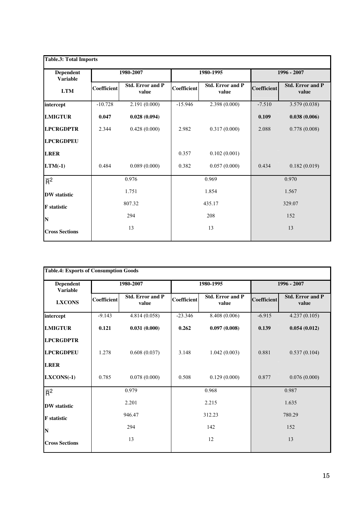| <b>Table.3: Total Imports</b>       |             |                                  |             |                                  |             |                                  |  |
|-------------------------------------|-------------|----------------------------------|-------------|----------------------------------|-------------|----------------------------------|--|
| <b>Dependent</b><br><b>Variable</b> |             | 1980-2007                        |             | 1980-1995                        |             | 1996 - 2007                      |  |
| <b>LTM</b>                          | Coefficient | <b>Std. Error and P</b><br>value | Coefficient | <b>Std. Error and P</b><br>value | Coefficient | <b>Std. Error and P</b><br>value |  |
| intercept                           | $-10.728$   | 2.191 (0.000)                    | $-15.946$   | 2.398(0.000)                     | $-7.510$    | 3.579(0.038)                     |  |
| <b>LMIGTUR</b>                      | 0.047       | 0.028(0.094)                     |             |                                  | 0.109       | 0.038(0.006)                     |  |
| <b>LPCRGDPTR</b>                    | 2.344       | 0.428(0.000)                     | 2.982       | 0.317(0.000)                     | 2.088       | 0.778(0.008)                     |  |
| <b>LPCRGDPEU</b>                    |             |                                  |             |                                  |             |                                  |  |
| <b>LRER</b>                         |             |                                  | 0.357       | 0.102(0.001)                     |             |                                  |  |
| $LTM(-1)$                           | 0.484       | 0.089(0.000)                     | 0.382       | 0.057(0.000)                     | 0.434       | 0.182(0.019)                     |  |
| $\overline{R}^2$                    |             | 0.976                            |             | 0.969                            |             | 0.970                            |  |
| <b>DW</b> statistic                 |             | 1.751                            |             | 1.854                            |             | 1.567                            |  |
| <b>F</b> statistic                  | 807.32      |                                  |             | 435.17                           |             | 329.07                           |  |
| N                                   |             | 294                              |             | 208                              |             | 152                              |  |
| <b>Cross Sections</b>               |             | 13                               |             | 13                               |             | 13                               |  |

| <b>Table.4: Exports of Consumption Goods</b> |             |                                  |             |                           |             |                                  |  |
|----------------------------------------------|-------------|----------------------------------|-------------|---------------------------|-------------|----------------------------------|--|
| Dependent<br><b>Variable</b>                 |             | 1980-2007                        |             | 1980-1995                 |             | 1996 - 2007                      |  |
| <b>LXCONS</b>                                | Coefficient | <b>Std. Error and P</b><br>value | Coefficient | Std. Error and P<br>value | Coefficient | <b>Std. Error and P</b><br>value |  |
| intercept                                    | $-9.143$    | 4.814(0.058)                     | $-23.346$   | 8.408(0.006)              | $-6.915$    | 4.237(0.105)                     |  |
| <b>LMIGTUR</b>                               | 0.121       | 0.031(0.000)                     | 0.262       | 0.097(0.008)              | 0.139       | 0.054(0.012)                     |  |
| <b>LPCRGDPTR</b>                             |             |                                  |             |                           |             |                                  |  |
| <b>LPCRGDPEU</b>                             | 1.278       | 0.608(0.037)                     | 3.148       | 1.042(0.003)              | 0.881       | 0.537(0.104)                     |  |
| <b>LRER</b>                                  |             |                                  |             |                           |             |                                  |  |
| $LXCONS(-1)$                                 | 0.785       | 0.078(0.000)                     | 0.508       | 0.129(0.000)              | 0.877       | 0.076(0.000)                     |  |
| $\overline{R}^2$                             |             | 0.979                            |             | 0.968                     |             | 0.987                            |  |
| <b>DW</b> statistic                          |             | 2.201                            |             | 2.215                     |             | 1.635                            |  |
| <b>F</b> statistic                           | 946.47      |                                  |             | 312.23                    |             | 780.29                           |  |
| N                                            |             | 294                              |             | 142                       |             | 152                              |  |
| <b>Cross Sections</b>                        |             | 13                               |             | 12                        |             | 13                               |  |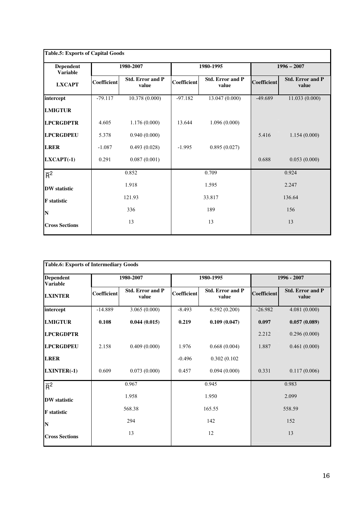| <b>Table.5: Exports of Capital Goods</b> |             |                                  |             |                                  |             |                                  |
|------------------------------------------|-------------|----------------------------------|-------------|----------------------------------|-------------|----------------------------------|
| Dependent<br><b>Variable</b>             |             | 1980-2007                        |             | 1980-1995                        |             | $1996 - 2007$                    |
| <b>LXCAPT</b>                            | Coefficient | <b>Std. Error and P</b><br>value | Coefficient | <b>Std. Error and P</b><br>value | Coefficient | <b>Std. Error and P</b><br>value |
| intercept                                | $-79.117$   | 10.378(0.000)                    | $-97.182$   | 13.047(0.000)                    | $-49.689$   | 11.033(0.000)                    |
| <b>LMIGTUR</b>                           |             |                                  |             |                                  |             |                                  |
| <b>LPCRGDPTR</b>                         | 4.605       | 1.176(0.000)                     | 13.644      | 1.096(0.000)                     |             |                                  |
| <b>LPCRGDPEU</b>                         | 5.378       | 0.940(0.000)                     |             |                                  | 5.416       | 1.154(0.000)                     |
| <b>LRER</b>                              | $-1.087$    | 0.493(0.028)                     | $-1.995$    | 0.895(0.027)                     |             |                                  |
| $LXCAPT(-1)$                             | 0.291       | 0.087(0.001)                     |             |                                  | 0.688       | 0.053(0.000)                     |
| $\overline{R}^2$                         |             | 0.852                            |             | 0.709                            |             | 0.924                            |
| <b>DW</b> statistic                      |             | 1.918                            |             | 1.595                            | 2.247       |                                  |
| <b>F</b> statistic                       |             | 121.93                           |             | 33.817                           |             | 136.64                           |
| N                                        |             | 336                              |             | 189                              |             | 156                              |
| <b>Cross Sections</b>                    |             | 13                               |             | 13                               |             | 13                               |

| <b>Table.6: Exports of Intermediary Goods</b> |             |                                  |                    |                                  |                    |                                  |  |
|-----------------------------------------------|-------------|----------------------------------|--------------------|----------------------------------|--------------------|----------------------------------|--|
| <b>Dependent</b><br><b>Variable</b>           | 1980-2007   |                                  |                    | 1980-1995                        |                    | 1996 - 2007                      |  |
| <b>LXINTER</b>                                | Coefficient | <b>Std. Error and P</b><br>value | <b>Coefficient</b> | <b>Std. Error and P</b><br>value | <b>Coefficient</b> | <b>Std. Error and P</b><br>value |  |
| intercept                                     | $-14.889$   | 3.065(0.000)                     | $-8.493$           | 6.592(0.200)                     | $-26.982$          | 4.081(0.000)                     |  |
| <b>LMIGTUR</b>                                | 0.108       | 0.044(0.015)                     | 0.219              | 0.109(0.047)                     | 0.097              | 0.057(0.089)                     |  |
| <b>LPCRGDPTR</b>                              |             |                                  |                    |                                  | 2.212              | 0.296(0.000)                     |  |
| <b>LPCRGDPEU</b>                              | 2.158       | 0.409(0.000)                     | 1.976              | 0.668(0.004)                     | 1.887              | 0.461(0.000)                     |  |
| <b>LRER</b>                                   |             |                                  | $-0.496$           | 0.302(0.102)                     |                    |                                  |  |
| LXINTER(-1)                                   | 0.609       | 0.073(0.000)                     | 0.457              | 0.094(0.000)                     | 0.331              | 0.117(0.006)                     |  |
| $\overline{R}^2$                              |             | 0.967                            |                    | 0.945                            |                    | 0.983                            |  |
| <b>DW</b> statistic                           |             | 1.958                            |                    | 1.950                            |                    | 2.099                            |  |
| <b>F</b> statistic                            |             | 568.38                           |                    | 165.55                           |                    | 558.59                           |  |
| N                                             |             | 294                              |                    | 142                              |                    | 152                              |  |
| <b>Cross Sections</b>                         |             | 13                               |                    | 12                               |                    | 13                               |  |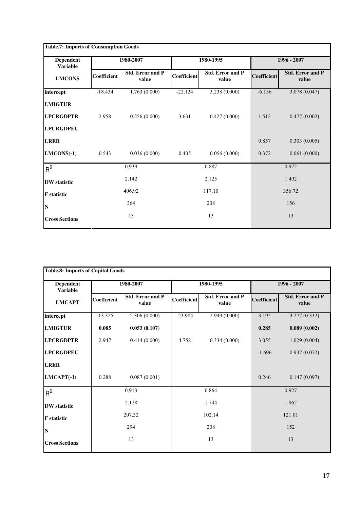| <b>Dependent</b><br><b>Variable</b> |             | 1980-2007                        |             | 1980-1995                        |             | 1996 - 2007                      |  |
|-------------------------------------|-------------|----------------------------------|-------------|----------------------------------|-------------|----------------------------------|--|
| <b>LMCONS</b>                       | Coefficient | <b>Std. Error and P</b><br>value | Coefficient | <b>Std. Error and P</b><br>value | Coefficient | <b>Std. Error and P</b><br>value |  |
| intercept                           | $-18.434$   | 1.763(0.000)                     | $-22.124$   | 3.238(0.000)                     | $-6.156$    | 3.078 (0.047)                    |  |
| <b>LMIGTUR</b>                      |             |                                  |             |                                  |             |                                  |  |
| <b>LPCRGDPTR</b>                    | 2.958       | 0.256(0.000)                     | 3.631       | 0.427(0.000)                     | 1.512       | 0.477(0.002)                     |  |
| <b>LPCRGDPEU</b>                    |             |                                  |             |                                  |             |                                  |  |
| <b>LRER</b>                         |             |                                  |             |                                  | 0.857       | 0.303(0.005)                     |  |
| LMCONS(-1)                          | 0.543       | 0.036(0.000)                     | 0.405       | 0.056(0.000)                     | 0.372       | 0.061(0.000)                     |  |
| $\overline{R}^2$                    |             | 0.939                            |             | 0.887                            |             | 0.972                            |  |
| <b>DW</b> statistic                 |             | 2.142                            |             | 2.125                            |             | 1.492                            |  |
| <b>F</b> statistic                  |             | 406.92                           |             | 117.10                           |             | 356.72                           |  |
| N                                   |             | 364                              |             | 208                              |             | 156                              |  |
| <b>Cross Sections</b>               |             | 13                               |             | 13                               |             | 13                               |  |

| <b>Table.8: Imports of Capital Goods</b> |             |                                  |             |                                  |             |                                  |  |
|------------------------------------------|-------------|----------------------------------|-------------|----------------------------------|-------------|----------------------------------|--|
| Dependent<br><b>Variable</b>             |             | 1980-2007                        |             | 1980-1995                        |             | 1996 - 2007                      |  |
| <b>LMCAPT</b>                            | Coefficient | <b>Std. Error and P</b><br>value | Coefficient | <b>Std. Error and P</b><br>value | Coefficient | <b>Std. Error and P</b><br>value |  |
| intercept                                | $-13.325$   | 2.306(0.000)                     | $-23.984$   | 2.949(0.000)                     | 3.192       | 3.277(0.332)                     |  |
| <b>LMIGTUR</b>                           | 0.085       | 0.053(0.107)                     |             |                                  | 0.285       | 0.089(0.002)                     |  |
| <b>LPCRGDPTR</b>                         | 2.947       | 0.414(0.000)                     | 4.758       | 0.334(0.000)                     | 3.055       | 1.029(0.004)                     |  |
| <b>LPCRGDPEU</b>                         |             |                                  |             |                                  | $-1.696$    | 0.937(0.072)                     |  |
| <b>LRER</b>                              |             |                                  |             |                                  |             |                                  |  |
| $LMCAPT(-1)$                             | 0.288       | 0.087(0.001)                     |             |                                  | 0.246       | 0.147(0.097)                     |  |
| $\overline{R}^2$                         |             | 0.913                            |             | 0.864                            |             | 0.927                            |  |
| <b>DW</b> statistic                      |             | 2.128                            |             | 1.744                            |             | 1.962                            |  |
| <b>F</b> statistic                       |             | 207.32                           |             | 102.14                           |             | 121.01                           |  |
| N                                        |             | 294                              |             | 208                              |             | 152                              |  |
| <b>Cross Sections</b>                    |             | 13                               |             | 13                               |             | 13                               |  |